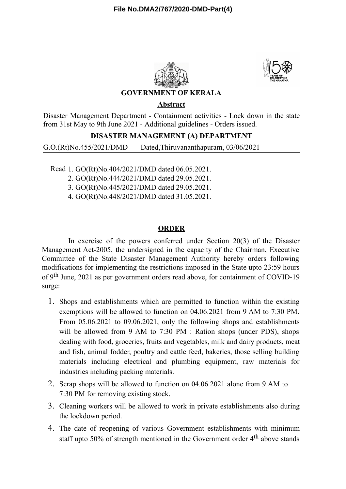



## **GOVERNMENT OF KERALA**

**Abstract**

Disaster Management Department - Containment activities - Lock down in the state from 31st May to 9th June 2021 - Additional guidelines - Orders issued.

## **DISASTER MANAGEMENT (A) DEPARTMENT**

G.O.(Rt)No.455/2021/DMD Dated,Thiruvananthapuram, 03/06/2021

Read 1. GO(Rt)No.404/2021/DMD dated 06.05.2021.

2. GO(Rt)No.444/2021/DMD dated 29.05.2021.

3. GO(Rt)No.445/2021/DMD dated 29.05.2021.

4. GO(Rt)No.448/2021/DMD dated 31.05.2021.

## **ORDER**

In exercise of the powers conferred under Section 20(3) of the Disaster Management Act-2005, the undersigned in the capacity of the Chairman, Executive Committee of the State Disaster Management Authority hereby orders following modifications for implementing the restrictions imposed in the State upto 23:59 hours of 9<sup>th</sup> June, 2021 as per government orders read above, for containment of COVID-19 surge:

- 1. Shops and establishments which are permitted to function within the existing exemptions will be allowed to function on 04.06.2021 from 9 AM to 7:30 PM. From 05.06.2021 to 09.06.2021, only the following shops and establishments will be allowed from 9 AM to 7:30 PM : Ration shops (under PDS), shops dealing with food, groceries, fruits and vegetables, milk and dairy products, meat and fish, animal fodder, poultry and cattle feed, bakeries, those selling building materials including electrical and plumbing equipment, raw materials for industries including packing materials.
- 2. Scrap shops will be allowed to function on 04.06.2021 alone from 9 AM to 7:30 PM for removing existing stock.
- 3. Cleaning workers will be allowed to work in private establishments also during the lockdown period.
- 4. The date of reopening of various Government establishments with minimum staff upto 50% of strength mentioned in the Government order  $4<sup>th</sup>$  above stands